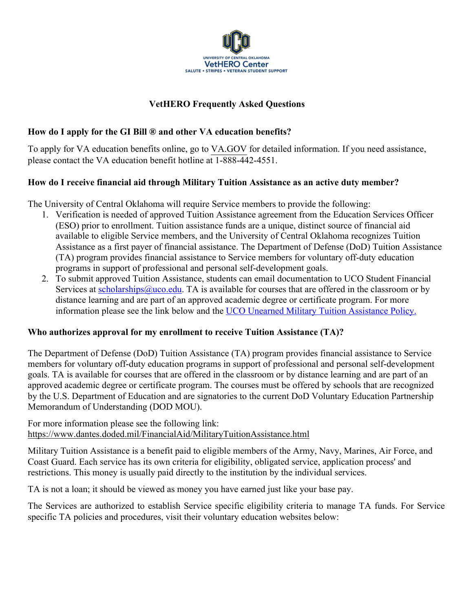

## **VetHERO Frequently Asked Questions**

### **How do I apply for the GI Bill ® and other VA education benefits?**

To apply for VA education benefits online, go to VA.GOV for detailed information. If you need assistance, please contact the VA education benefit hotline at 1-888-442-4551.

#### **How do I receive financial aid through Military Tuition Assistance as an active duty member?**

The University of Central Oklahoma will require Service members to provide the following:

- 1. Verification is needed of approved Tuition Assistance agreement from the Education Services Officer (ESO) prior to enrollment. Tuition assistance funds are a unique, distinct source of financial aid available to eligible Service members, and the University of Central Oklahoma recognizes Tuition Assistance as a first payer of financial assistance. The Department of Defense (DoD) Tuition Assistance (TA) program provides financial assistance to Service members for voluntary off-duty education programs in support of professional and personal self-development goals.
- 2. To submit approved Tuition Assistance, students can email documentation to UCO Student Financial Services at scholarships@uco.edu. TA is available for courses that are offered in the classroom or by distance learning and are part of an approved academic degree or certificate program. For more information please see the link below and the UCO Unearned Military Tuition Assistance Policy.

#### **Who authorizes approval for my enrollment to receive Tuition Assistance (TA)?**

The Department of Defense (DoD) Tuition Assistance (TA) program provides financial assistance to Service members for voluntary off-duty education programs in support of professional and personal self-development goals. TA is available for courses that are offered in the classroom or by distance learning and are part of an approved academic degree or certificate program. The courses must be offered by schools that are recognized by the U.S. Department of Education and are signatories to the current DoD Voluntary Education Partnership Memorandum of Understanding (DOD MOU).

For more information please see the following link: https://www.dantes.doded.mil/FinancialAid/MilitaryTuitionAssistance.html

Military Tuition Assistance is a benefit paid to eligible members of the Army, Navy, Marines, Air Force, and Coast Guard. Each service has its own criteria for eligibility, obligated service, application process' and restrictions. This money is usually paid directly to the institution by the individual services.

TA is not a loan; it should be viewed as money you have earned just like your base pay.

The Services are authorized to establish Service specific eligibility criteria to manage TA funds. For Service specific TA policies and procedures, visit their voluntary education websites below: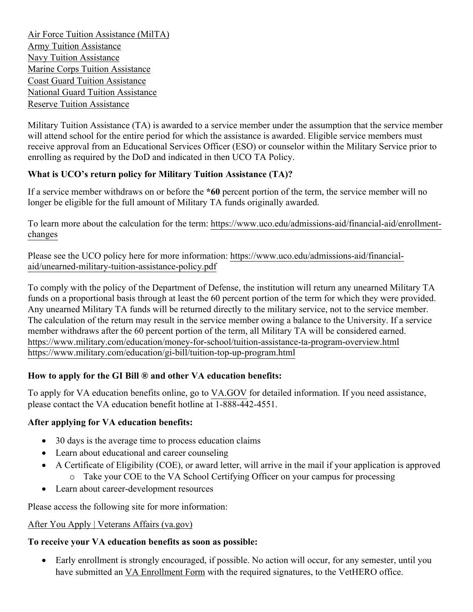Air Force Tuition Assistance (MilTA) Army Tuition Assistance Navy Tuition Assistance Marine Corps Tuition Assistance Coast Guard Tuition Assistance National Guard Tuition Assistance Reserve Tuition Assistance

Military Tuition Assistance (TA) is awarded to a service member under the assumption that the service member will attend school for the entire period for which the assistance is awarded. Eligible service members must receive approval from an Educational Services Officer (ESO) or counselor within the Military Service prior to enrolling as required by the DoD and indicated in then UCO TA Policy.

# **What is UCO's return policy for Military Tuition Assistance (TA)?**

If a service member withdraws on or before the **\*60** percent portion of the term, the service member will no longer be eligible for the full amount of Military TA funds originally awarded.

To learn more about the calculation for the term: https://www.uco.edu/admissions-aid/financial-aid/enrollmentchanges

Please see the UCO policy here for more information: https://www.uco.edu/admissions-aid/financialaid/unearned-military-tuition-assistance-policy.pdf

To comply with the policy of the Department of Defense, the institution will return any unearned Military TA funds on a proportional basis through at least the 60 percent portion of the term for which they were provided. Any unearned Military TA funds will be returned directly to the military service, not to the service member. The calculation of the return may result in the service member owing a balance to the University. If a service member withdraws after the 60 percent portion of the term, all Military TA will be considered earned. https://www.military.com/education/money-for-school/tuition-assistance-ta-program-overview.html https://www.military.com/education/gi-bill/tuition-top-up-program.html

## **How to apply for the GI Bill ® and other VA education benefits:**

To apply for VA education benefits online, go to VA.GOV for detailed information. If you need assistance, please contact the VA education benefit hotline at 1-888-442-4551.

#### **After applying for VA education benefits:**

- 30 days is the average time to process education claims
- Learn about educational and career counseling
- A Certificate of Eligibility (COE), or award letter, will arrive in the mail if your application is approved o Take your COE to the VA School Certifying Officer on your campus for processing
- Learn about career-development resources

Please access the following site for more information:

#### After You Apply | Veterans Affairs (va.gov)

## **To receive your VA education benefits as soon as possible:**

• Early enrollment is strongly encouraged, if possible. No action will occur, for any semester, until you have submitted an VA Enrollment Form with the required signatures, to the VetHERO office.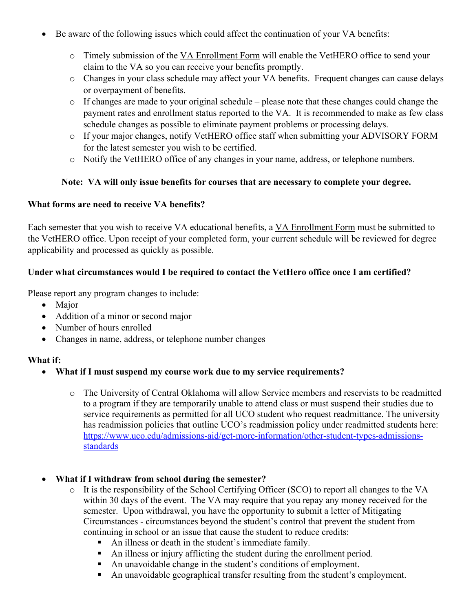- Be aware of the following issues which could affect the continuation of your VA benefits:
	- o Timely submission of the VA Enrollment Form will enable the VetHERO office to send your claim to the VA so you can receive your benefits promptly.
	- o Changes in your class schedule may affect your VA benefits. Frequent changes can cause delays or overpayment of benefits.
	- o If changes are made to your original schedule please note that these changes could change the payment rates and enrollment status reported to the VA. It is recommended to make as few class schedule changes as possible to eliminate payment problems or processing delays.
	- o If your major changes, notify VetHERO office staff when submitting your ADVISORY FORM for the latest semester you wish to be certified.
	- o Notify the VetHERO office of any changes in your name, address, or telephone numbers.

## **Note: VA will only issue benefits for courses that are necessary to complete your degree.**

## **What forms are need to receive VA benefits?**

Each semester that you wish to receive VA educational benefits, a VA Enrollment Form must be submitted to the VetHERO office. Upon receipt of your completed form, your current schedule will be reviewed for degree applicability and processed as quickly as possible.

## **Under what circumstances would I be required to contact the VetHero office once I am certified?**

Please report any program changes to include:

- Major
- Addition of a minor or second major
- Number of hours enrolled
- Changes in name, address, or telephone number changes

#### **What if:**

- **What if I must suspend my course work due to my service requirements?**
	- o The University of Central Oklahoma will allow Service members and reservists to be readmitted to a program if they are temporarily unable to attend class or must suspend their studies due to service requirements as permitted for all UCO student who request readmittance. The university has readmission policies that outline UCO's readmission policy under readmitted students here: https://www.uco.edu/admissions-aid/get-more-information/other-student-types-admissionsstandards
- **What if I withdraw from school during the semester?**
	- o It is the responsibility of the School Certifying Officer (SCO) to report all changes to the VA within 30 days of the event. The VA may require that you repay any money received for the semester. Upon withdrawal, you have the opportunity to submit a letter of Mitigating Circumstances - circumstances beyond the student's control that prevent the student from continuing in school or an issue that cause the student to reduce credits:
		- An illness or death in the student's immediate family.
		- An illness or injury afflicting the student during the enrollment period.
		- An unavoidable change in the student's conditions of employment.
		- An unavoidable geographical transfer resulting from the student's employment.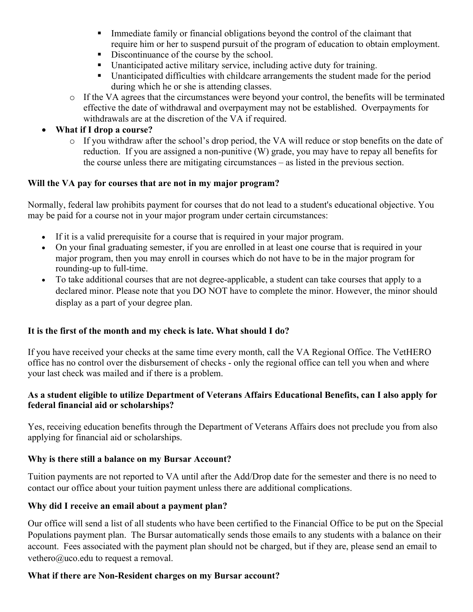- **•** Immediate family or financial obligations beyond the control of the claimant that require him or her to suspend pursuit of the program of education to obtain employment.
- Discontinuance of the course by the school.
- Unanticipated active military service, including active duty for training.
- § Unanticipated difficulties with childcare arrangements the student made for the period during which he or she is attending classes.
- o If the VA agrees that the circumstances were beyond your control, the benefits will be terminated effective the date of withdrawal and overpayment may not be established. Overpayments for withdrawals are at the discretion of the VA if required.

## • **What if I drop a course?**

o If you withdraw after the school's drop period, the VA will reduce or stop benefits on the date of reduction. If you are assigned a non-punitive (W) grade, you may have to repay all benefits for the course unless there are mitigating circumstances – as listed in the previous section.

## **Will the VA pay for courses that are not in my major program?**

Normally, federal law prohibits payment for courses that do not lead to a student's educational objective. You may be paid for a course not in your major program under certain circumstances:

- If it is a valid prerequisite for a course that is required in your major program.
- On your final graduating semester, if you are enrolled in at least one course that is required in your major program, then you may enroll in courses which do not have to be in the major program for rounding-up to full-time.
- To take additional courses that are not degree-applicable, a student can take courses that apply to a declared minor. Please note that you DO NOT have to complete the minor. However, the minor should display as a part of your degree plan.

## **It is the first of the month and my check is late. What should I do?**

If you have received your checks at the same time every month, call the VA Regional Office. The VetHERO office has no control over the disbursement of checks - only the regional office can tell you when and where your last check was mailed and if there is a problem.

## **As a student eligible to utilize Department of Veterans Affairs Educational Benefits, can I also apply for federal financial aid or scholarships?**

Yes, receiving education benefits through the Department of Veterans Affairs does not preclude you from also applying for financial aid or scholarships.

#### **Why is there still a balance on my Bursar Account?**

Tuition payments are not reported to VA until after the Add/Drop date for the semester and there is no need to contact our office about your tuition payment unless there are additional complications.

#### **Why did I receive an email about a payment plan?**

Our office will send a list of all students who have been certified to the Financial Office to be put on the Special Populations payment plan. The Bursar automatically sends those emails to any students with a balance on their account. Fees associated with the payment plan should not be charged, but if they are, please send an email to vethero@uco.edu to request a removal.

#### **What if there are Non-Resident charges on my Bursar account?**